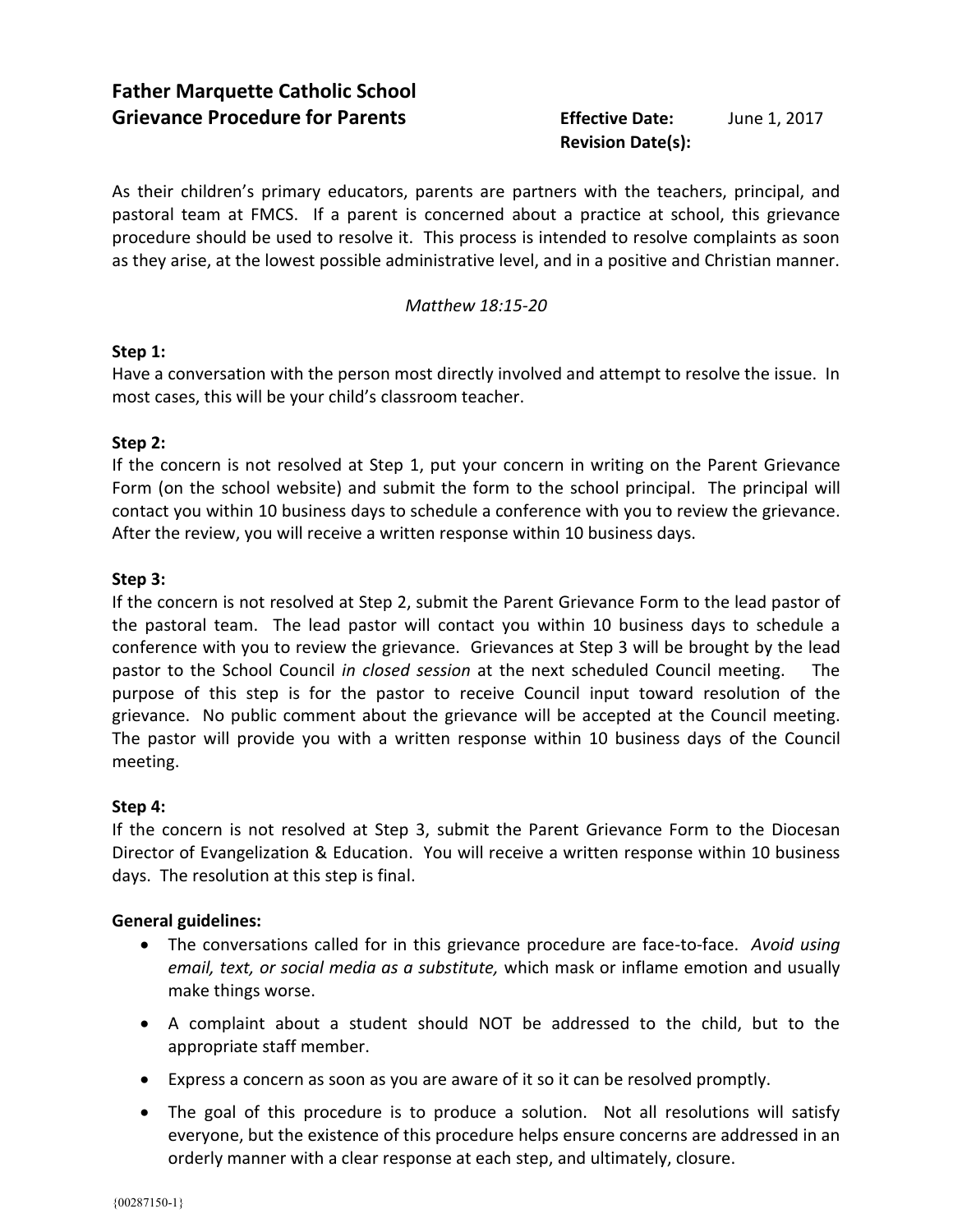# **Revision Date(s):**

As their children's primary educators, parents are partners with the teachers, principal, and pastoral team at FMCS. If a parent is concerned about a practice at school, this grievance procedure should be used to resolve it. This process is intended to resolve complaints as soon as they arise, at the lowest possible administrative level, and in a positive and Christian manner.

#### *Matthew 18:15-20*

#### **Step 1:**

Have a conversation with the person most directly involved and attempt to resolve the issue. In most cases, this will be your child's classroom teacher.

#### **Step 2:**

If the concern is not resolved at Step 1, put your concern in writing on the Parent Grievance Form (on the school website) and submit the form to the school principal. The principal will contact you within 10 business days to schedule a conference with you to review the grievance. After the review, you will receive a written response within 10 business days.

#### **Step 3:**

If the concern is not resolved at Step 2, submit the Parent Grievance Form to the lead pastor of the pastoral team. The lead pastor will contact you within 10 business days to schedule a conference with you to review the grievance. Grievances at Step 3 will be brought by the lead pastor to the School Council *in closed session* at the next scheduled Council meeting. The purpose of this step is for the pastor to receive Council input toward resolution of the grievance. No public comment about the grievance will be accepted at the Council meeting. The pastor will provide you with a written response within 10 business days of the Council meeting.

## **Step 4:**

If the concern is not resolved at Step 3, submit the Parent Grievance Form to the Diocesan Director of Evangelization & Education. You will receive a written response within 10 business days. The resolution at this step is final.

## **General guidelines:**

- The conversations called for in this grievance procedure are face-to-face. *Avoid using email, text, or social media as a substitute,* which mask or inflame emotion and usually make things worse.
- A complaint about a student should NOT be addressed to the child, but to the appropriate staff member.
- Express a concern as soon as you are aware of it so it can be resolved promptly.
- The goal of this procedure is to produce a solution. Not all resolutions will satisfy everyone, but the existence of this procedure helps ensure concerns are addressed in an orderly manner with a clear response at each step, and ultimately, closure.